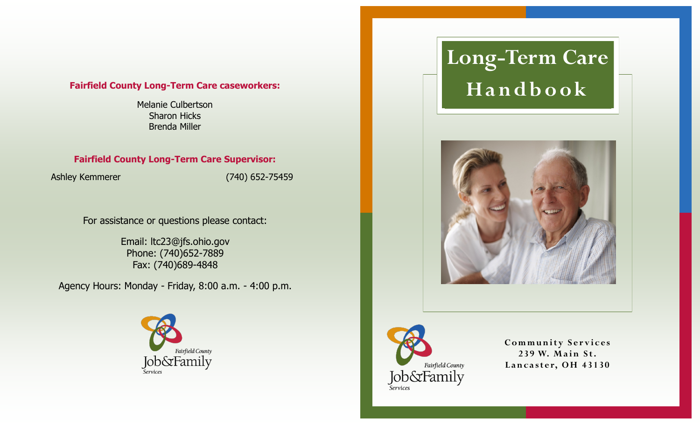## **Fairfield County Long-Term Care caseworkers:**

Melanie Culbertson Sharon Hicks Brenda Miller

# **Fairfield County Long-Term Care Supervisor:**

Ashley Kemmerer (740) 652-75459

For assistance or questions please contact:

Email: ltc23@jfs.ohio.gov Phone: (740)652-7889 Fax: (740)689-4848

Agency Hours: Monday - Friday, 8:00 a.m. - 4:00 p.m.



# **Long-Term Care H a n d b o o k**





**Community Services** 239 W. Main St. Lancaster, OH 43130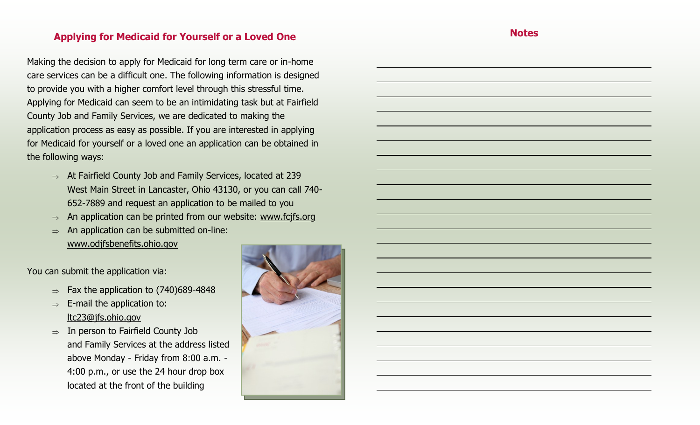# **Applying for Medicaid for Yourself or a Loved One**

Making the decision to apply for Medicaid for long term care or in-home care services can be a difficult one. The following information is designed to provide you with a higher comfort level through this stressful time. Applying for Medicaid can seem to be an intimidating task but at Fairfield County Job and Family Services, we are dedicated to making the application process as easy as possible. If you are interested in applying for Medicaid for yourself or a loved one an application can be obtained in the following ways:

- $\Rightarrow$  At Fairfield County Job and Family Services, located at 239 West Main Street in Lancaster, Ohio 43130, or you can call 740- 652-7889 and request an application to be mailed to you
- $\Rightarrow$  An application can be printed from our website: www.fcjfs.org
- $\Rightarrow$  An application can be submitted on-line: www.odjfsbenefits.ohio.gov

You can submit the application via:

- $\Rightarrow$  Fax the application to (740)689-4848
- $\Rightarrow$  E-mail the application to: lt[c23@jfs.ohio.gov](mailto:LTC23@jfs.ohio.gov)
- $\Rightarrow$  In person to Fairfield County Job and Family Services at the address listed above Monday - Friday from 8:00 a.m. - 4:00 p.m., or use the 24 hour drop box located at the front of the building



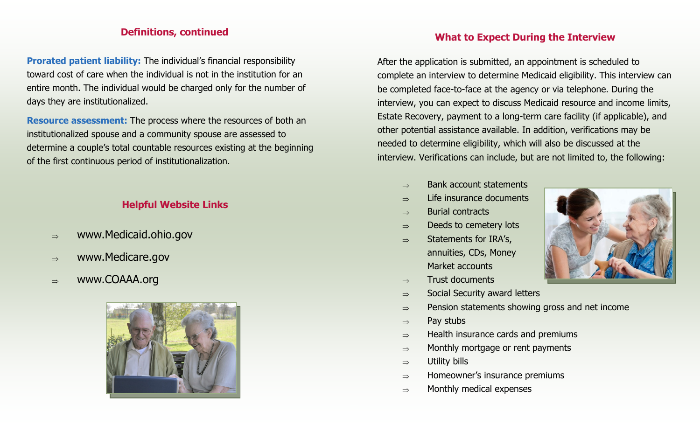# **Definitions, continued**

**Prorated patient liability:** The individual's financial responsibility toward cost of care when the individual is not in the institution for an entire month. The individual would be charged only for the number of days they are institutionalized.

**Resource assessment:** The process where the resources of both an institutionalized spouse and a community spouse are assessed to determine a couple's total countable resources existing at the beginning of the first continuous period of institutionalization.

# **Helpful Website Links**

- $\Rightarrow$  www.Medicaid.ohio.gov
- $\Rightarrow$  www.Medicare.gov
- $\Rightarrow$  www.COAAA.org



# **What to Expect During the Interview**

After the application is submitted, an appointment is scheduled to complete an interview to determine Medicaid eligibility. This interview can be completed face-to-face at the agency or via telephone. During the interview, you can expect to discuss Medicaid resource and income limits, Estate Recovery, payment to a long-term care facility (if applicable), and other potential assistance available. In addition, verifications may be needed to determine eligibility, which will also be discussed at the interview. Verifications can include, but are not limited to, the following:

- $\Rightarrow$  Bank account statements
- $\Rightarrow$  Life insurance documents
- $\Rightarrow$  Burial contracts
- $\Rightarrow$  Deeds to cemetery lots
- $\Rightarrow$  Statements for IRA's, annuities, CDs, Money Market accounts
- $\Rightarrow$  Trust documents
- $\Rightarrow$  Social Security award letters
- $\Rightarrow$  Pension statements showing gross and net income
- $\Rightarrow$  Pay stubs
- $\Rightarrow$  Health insurance cards and premiums
- $\Rightarrow$  Monthly mortgage or rent payments
- $\Rightarrow$  Utility bills
- $\Rightarrow$  Homeowner's insurance premiums
- $\Rightarrow$  Monthly medical expenses

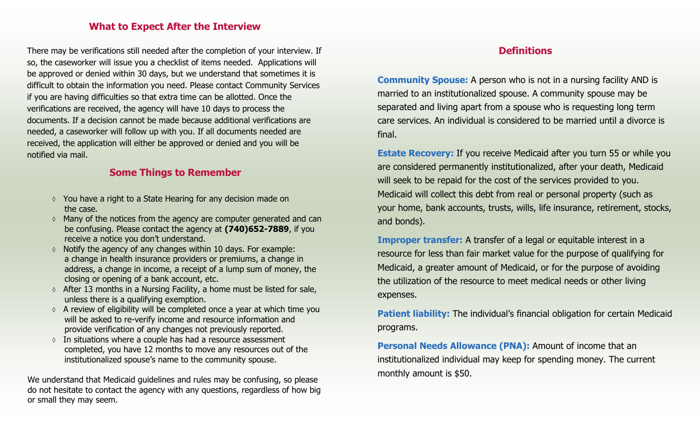## **What to Expect After the Interview**

There may be verifications still needed after the completion of your interview. If so, the caseworker will issue you a checklist of items needed. Applications will be approved or denied within 30 days, but we understand that sometimes it is difficult to obtain the information you need. Please contact Community Services if you are having difficulties so that extra time can be allotted. Once the verifications are received, the agency will have 10 days to process the documents. If a decision cannot be made because additional verifications are needed, a caseworker will follow up with you. If all documents needed are received, the application will either be approved or denied and you will be notified via mail.

## **Some Things to Remember**

- You have a right to a State Hearing for any decision made on the case.
- $\Diamond$  Many of the notices from the agency are computer generated and can be confusing. Please contact the agency at **(740)652-7889**, if you receive a notice you don't understand.
- $\lozenge$  Notify the agency of any changes within 10 days. For example: a change in health insurance providers or premiums, a change in address, a change in income, a receipt of a lump sum of money, the closing or opening of a bank account, etc.
- $\lozenge$  After 13 months in a Nursing Facility, a home must be listed for sale, unless there is a qualifying exemption.
- $\Diamond$  A review of eligibility will be completed once a year at which time you will be asked to re-verify income and resource information and provide verification of any changes not previously reported.
- $\circ$  In situations where a couple has had a resource assessment completed, you have 12 months to move any resources out of the institutionalized spouse's name to the community spouse.

We understand that Medicaid guidelines and rules may be confusing, so please do not hesitate to contact the agency with any questions, regardless of how big or small they may seem.

# **Definitions**

**Community Spouse:** A person who is not in a nursing facility AND is married to an institutionalized spouse. A community spouse may be separated and living apart from a spouse who is requesting long term care services. An individual is considered to be married until a divorce is final.

**Estate Recovery:** If you receive Medicaid after you turn 55 or while you are considered permanently institutionalized, after your death, Medicaid will seek to be repaid for the cost of the services provided to you. Medicaid will collect this debt from real or personal property (such as your home, bank accounts, trusts, wills, life insurance, retirement, stocks, and bonds).

**Improper transfer:** A transfer of a legal or equitable interest in a resource for less than fair market value for the purpose of qualifying for Medicaid, a greater amount of Medicaid, or for the purpose of avoiding the utilization of the resource to meet medical needs or other living expenses.

**Patient liability:** The individual's financial obligation for certain Medicaid programs.

**Personal Needs Allowance (PNA):** Amount of income that an institutionalized individual may keep for spending money. The current monthly amount is \$50.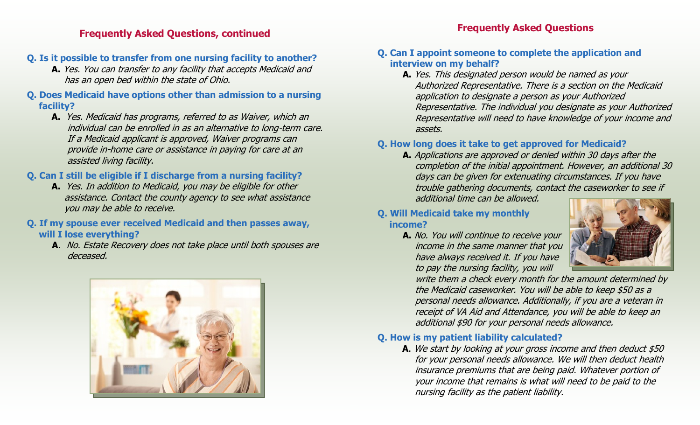# **Frequently Asked Questions, continued**

# **Q. Is it possible to transfer from one nursing facility to another?**

- **A.** Yes. You can transfer to any facility that accepts Medicaid and has an open bed within the state of Ohio.
- **Q. Does Medicaid have options other than admission to a nursing facility?**
	- **A.** Yes. Medicaid has programs, referred to as Waiver, which an individual can be enrolled in as an alternative to long-term care. If a Medicaid applicant is approved, Waiver programs can provide in-home care or assistance in paying for care at an assisted living facility.

# **Q. Can I still be eligible if I discharge from a nursing facility?**

**A.** Yes. In addition to Medicaid, you may be eligible for other assistance. Contact the county agency to see what assistance you may be able to receive.

## **Q. If my spouse ever received Medicaid and then passes away, will I lose everything?**

**A**. No. Estate Recovery does not take place until both spouses are deceased.



# **Frequently Asked Questions**

## **Q. Can I appoint someone to complete the application and interview on my behalf?**

**A.** Yes. This designated person would be named as your Authorized Representative. There is a section on the Medicaid application to designate a person as your Authorized Representative. The individual you designate as your Authorized Representative will need to have knowledge of your income and assets.

# **Q. How long does it take to get approved for Medicaid?**

**A.** Applications are approved or denied within 30 days after the completion of the initial appointment. However, an additional 30 days can be given for extenuating circumstances. If you have trouble gathering documents, contact the caseworker to see if additional time can be allowed.

## **Q. Will Medicaid take my monthly income?**

**A.** No. You will continue to receive your income in the same manner that you have always received it. If you have to pay the nursing facility, you will



write them a check every month for the amount determined by the Medicaid caseworker. You will be able to keep \$50 as a personal needs allowance. Additionally, if you are a veteran in receipt of VA Aid and Attendance, you will be able to keep an additional \$90 for your personal needs allowance.

## **Q. How is my patient liability calculated?**

**A**. We start by looking at your gross income and then deduct \$50 for your personal needs allowance. We will then deduct health insurance premiums that are being paid. Whatever portion of your income that remains is what will need to be paid to the nursing facility as the patient liability.